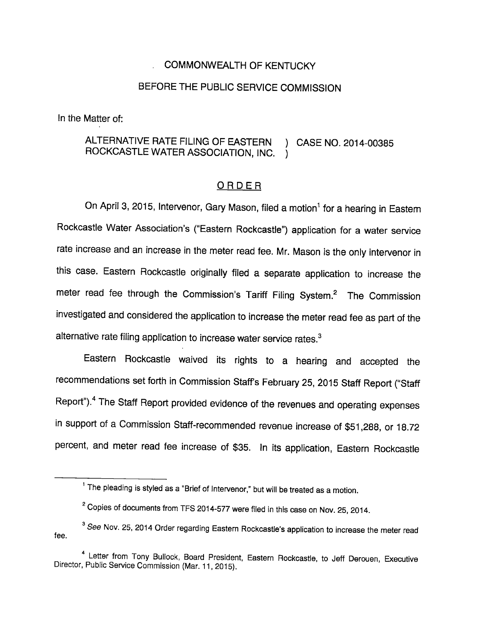## . COMMONWEALTH OF KENTUCKY

## BEFORE THE PUBLIC SERVICE COMMISSION

In the Matter of:

## ALTERNATIVE RATE FILING OF EASTERN ) CASE NO. 2014-00385 ROCKCASTLE WATER ASSOCIATION, INC. )

## ORDER

On April 3, 2015, Intervenor, Gary Mason, filed a motion<sup>1</sup> for a hearing in Eastern Rockcastle Water Association's ("Eastern Rockcastle") application for a water service rate increase and an increase in the meter read fee. Mr. Mason is the only intervenor in this case. Eastern Rockcastle originally filed a separate application to increase the meter read fee through the Commission's Tariff Filing System.<sup>2</sup> The Commission investigated and considered the application to increase the meter read fee as part of the alternative rate filing application to increase water service rates.<sup>3</sup>

Eastern Rockcastle waived its rights to a hearing and accepted the recommendations set forth in Commission Staff's February 25, 2015 Staff Report ("Staff Report").<sup>4</sup> The Staff Report provided evidence of the revenues and operating expenses in support of a Commission Staff-recommended revenue increase of \$51,288, or 18.72 percent, and meter read fee increase of \$35. In its application. Eastern Rockcastle

 $1$  The pleading is styled as a "Brief of Intervenor," but will be treated as a motion.

 $2^{\circ}$  Copies of documents from TFS 2014-577 were filed in this case on Nov. 25, 2014.

fee. <sup>3</sup> See Nov. 25, 2014 Order regarding Eastern Rockcastle's application to increase the meter read

<sup>&</sup>lt;sup>4</sup> Letter from Tony Bullock, Board President, Eastern Rockcastle, to Jeff Derouen, Executive Director, Pubiic Service Commission (Mar. 11, 2015).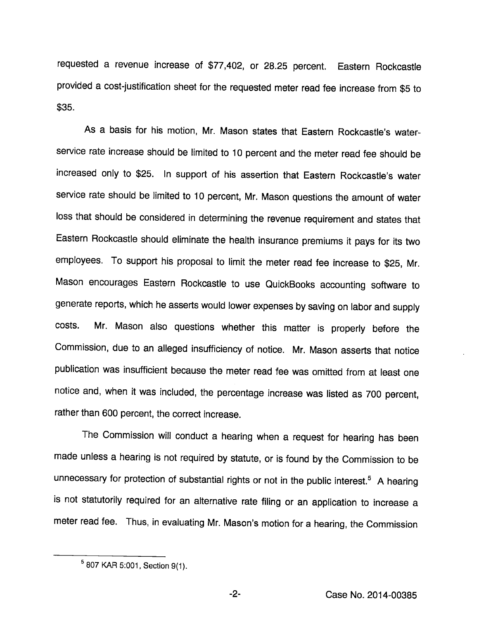requested a revenue increase of \$77,402, or 28.25 percent. Eastern Rockcastle provided a cost-justification sheet for the requested meter read fee increase from \$5 to \$35.

As a basis for his motion, Mr. Mason states that Eastern Rockcastle's waterservice rate increase should be limited to 10 percent and the meter read fee should be increased only to \$25. In support of his assertion that Eastern Rockcastle's water service rate should be limited to 10 percent, Mr. Mason questions the amount of water loss that should be considered in determining the revenue requirement and states that Eastern Rockcastle should eliminate the health insurance premiums it pays for its two employees. To support his proposal to limit the meter read fee increase to \$25, Mr. Mason encourages Eastern Rockcastle to use QuickBooks accounting software to generate reports, which he asserts would lower expenses by saving on labor and supply costs. Mr. Mason also questions whether this matter is properly before the Commission, due to an alleged insufficiency of notice. Mr. Mason asserts that notice publication was insufficient because the meter read fee was omitted from at least one notice and, when it was included, the percentage increase was listed as 700 percent, rather than 600 percent, the correct increase.

The Commission will conduct a hearing when a request for hearing has been made unless a hearing is not required by statute, or is found by the Commission to be unnecessary for protection of substantial rights or not in the public interest.<sup>5</sup> A hearing is not statutorily required for an alternative rate filing or an application to increase a meter read fee. Thus, in evaluating Mr. Mason's motion for a hearing, the Commission

<sup>^807</sup> KAR 5:001, Section 9(1).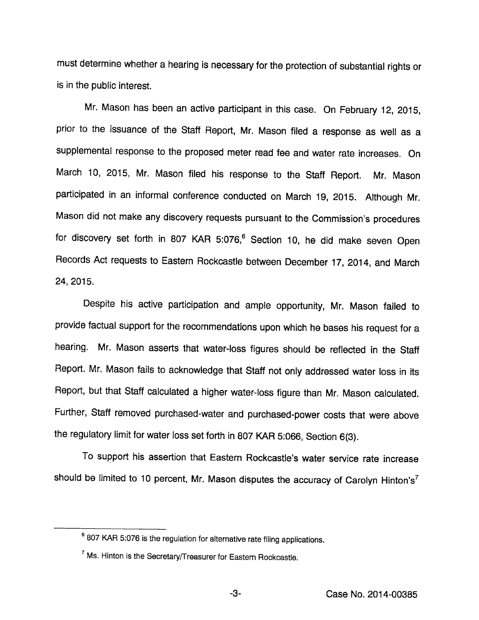must determine whether a hearing is necessary for the protection of substantial rights or is in the public interest.

Mr. Mason has been an active participant in this case. On February 12, 2015, prior to the issuance of the Staff Report, Mr. Mason filed a response as well as a supplemental response to the proposed meter read fee and water rate increases. On March 10, 2015, Mr. Mason filed his response to the Staff Report. Mr. Mason participated in an informal conference conducted on March 19, 2015. Although Mr. Mason did not make any discovery requests pursuant to the Commission's procedures for discovery set forth in 807 KAR 5:076,<sup>6</sup> Section 10, he did make seven Open Records Act requests to Eastem Rockcastle between December 17, 2014, and March 24, 2015.

Despite his active participation and ample opportunity, Mr. Mason failed to provide factual support for the recommendations upon which he bases his request for a hearing. Mr. Mason asserts that water-loss figures should be reflected in the Staff Report. Mr. Mason fails to acknowledge that Staff not only addressed water loss in its Report, but that Staff calculated a higher water-loss figure than Mr. Mason calculated. Further, Staff removed purchased-water and purchased-power costs that were above the regulatory limit for water loss set forth in 807 KAR 5:066, Section 6(3).

To support his assertion that Eastem Rockcastle's water service rate increase should be limited to 10 percent, Mr. Mason disputes the accuracy of Carolyn Hinton's<sup>7</sup>

<sup>®807</sup> KAR 5:076 Is the regulation for alternative rate filing applications.

 $^7$  Ms. Hinton is the Secretary/Treasurer for Eastem Rockcastle.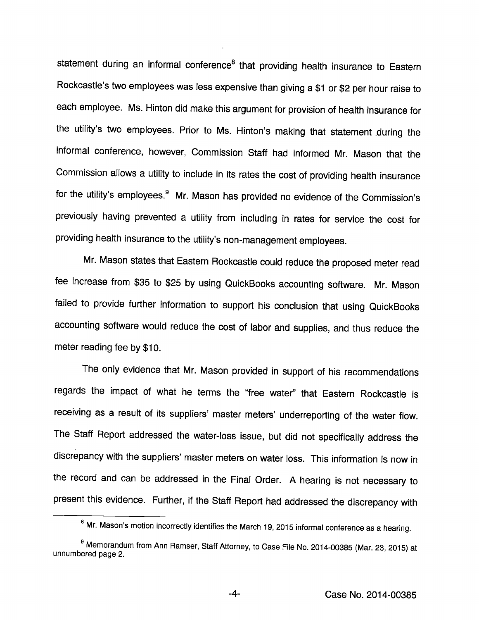statement during an informal conference<sup>8</sup> that providing health insurance to Eastern Rockcastle's two employees was less expensive than giving a \$1 or \$2 per hour raise to each employee. Ms. Hinton did make this argument for provision of health insurance for the utility's two employees. Prior to Ms. Hinton's making that statement during the informal conference, however, Commission Staff had informed Mr. Mason that the Commission allows a utility to include in its rates the cost of providing health insurance for the utility's employees.<sup>9</sup> Mr. Mason has provided no evidence of the Commission's previously having prevented a utility from including in rates for service the cost for providing health insurance to the utility's non-management employees.

Mr. Mason states that Eastern Rockcastle could reduce the proposed meter read fee increase from \$35 to \$25 by using QuickBooks accounting software. Mr. Mason failed to provide further information to support his conclusion that using QuickBooks accounting software would reduce the cost of labor and supplies, and thus reduce the meter reading fee by \$10.

The only evidence that Mr. Mason provided in support of his recommendations regards the impact of what he terms the "free water" that Eastern Rockcastle is receiving as a result of its suppliers' master meters' underreporting of the water flow. The Staff Report addressed the water-loss issue, but did not specifically address the discrepancy with the suppliers' master meters on water loss. This information is now in the record and can be addressed in the Final Order. A hearing is not necessary to present this evidence. Further, if the Staff Report had addressed the discrepancy with

 $^{\rm 6}$  Mr. Mason's motion incorrectly identifies the March 19, 2015 informal conference as a hearing.

<sup>&</sup>lt;sup>9</sup> Memorandum from Ann Ramser, Staff Attorney, to Case File No. 2014-00385 (Mar. 23, 2015) at unnumbered page 2.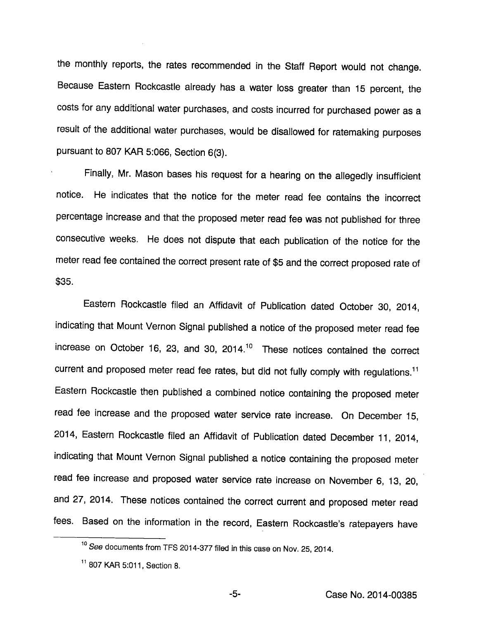the monthly reports, the rates recommended in the Staff Report would not change. Because Eastern Rockcastle already has a water loss greater than 15 percent, the costs for any additional water purchases, and costs incurred for purchased power as a result of the additional water purchases, would be disallowed for ratemaking purposes pursuant to 807 KAR 5:066, Section 6(3).

Finally, Mr. Mason bases his request for a hearing on the allegedly insufficient notice. He indicates that the notice for the meter read fee contains the incorrect percentage increase and that the proposed meter read fee was not published for three consecutive weeks. He does not dispute that each publication of the notice for the meter read fee contained the correct present rate of \$5 and the correct proposed rate of \$35.

Eastern Rockcastle filed an Affidavit of Publication dated October 30, 2014, indicating that Mount Vernon Signal published a notice of the proposed meter read fee increase on October 16, 23, and 30, 2014. $^{10}$  These notices contained the correct current and proposed meter read fee rates, but did not fully comply with regulations.<sup>11</sup> Eastern Rockcastle then published a combined notice containing the proposed meter read fee increase and the proposed water service rate increase. On December 15, 2014, Eastern Rockcastle filed an Affidavit of Publication dated December 11, 2014, indicating that Mount Vernon Signal published a notice containing the proposed meter read fee increase and proposed water service rate increase on November 6, 13, 20, and 27, 2014. These notices contained the correct current and proposed meter read fees. Based on the information in the record, Eastern Rockcastle's ratepayers have

<sup>&</sup>lt;sup>10</sup> See documents from TFS 2014-377 filed in this case on Nov. 25, 2014.

<sup>&</sup>lt;sup>11</sup> 807 KAR 5:011, Section 8.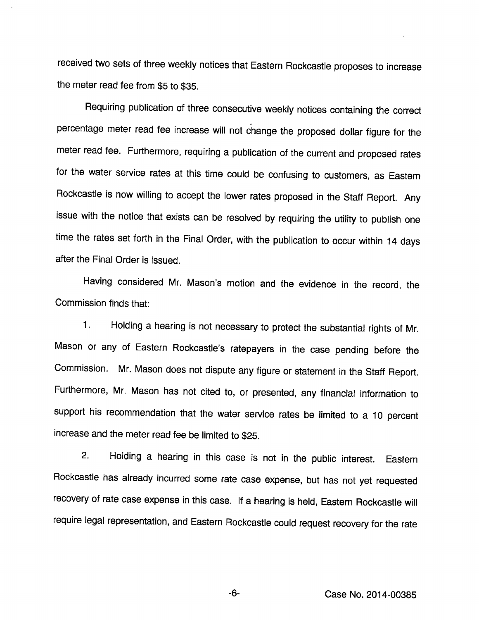received two sets of three weekly notices that Eastern Rockcastle proposes to increase the meter read fee from \$5 to \$35.

Requiring publication of three consecutive weekly notices containing the correct percentage meter read fee increase will not change the proposed dollar figure for the meter read fee. Furthermore, requiring a publication of the current and proposed rates for the water service rates at this time could be confusing to customers, as Eastem Rockcastle is now willing to accept the lower rates proposed in the Staff Report. Any issue with the notice that exists can be resolved by requiring the utility to publish one time the rates set forth in the Final Order, with the publication to occur within 14 days after the Final Order is issued.

Having considered Mr. Mason's motion and the evidence in the record, the Commission finds that:

1. Holding a hearing is not necessary to protect the substantial rights of Mr. Mason or any of Eastern Rockcastle's ratepayers in the case pending before the Commission. Mr. Mason does not dispute any figure or statement in the Staff Report. Furthermore, Mr. Mason has not cited to, or presented, any financial information to support his recommendation that the water service rates be limited to a 10 percent increase and the meter read fee be limited to \$25.

2. Holding a hearing in this case is not in the public interest. Eastem Rockcastle has already incurred some rate case expense, but has not yet requested recovery of rate case expense in this case. If a hearing is held. Eastern Rockcastle will require legal representation, and Eastern Rockcastle could request recovery for the rate

-6- Case No. 2014-00385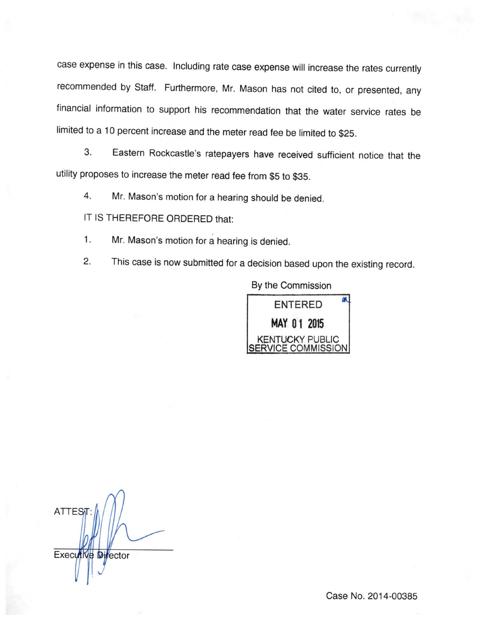case expense in this case. Including rate case expense will increase the rates currently recommended by Staff. Furthermore, Mr. Mason has not cited to, or presented, any financial information to support his recommendation that the water service rates be limited to a 10 percent increase and the meter read fee be limited to \$25.

3. Eastern Rockcastle's ratepayers have received sufficient notice that the utility proposes to increase the meter read fee from \$5 to \$35.

4. Mr. Mason's motion for a hearing should be denied.

IT IS THEREFORE ORDERED that:

1. Mr. Mason's motion for a hearing is denied.

2. This case is now submitted for a decision based upon the existing record.

By the Commission



**ATTESi Executive Director**